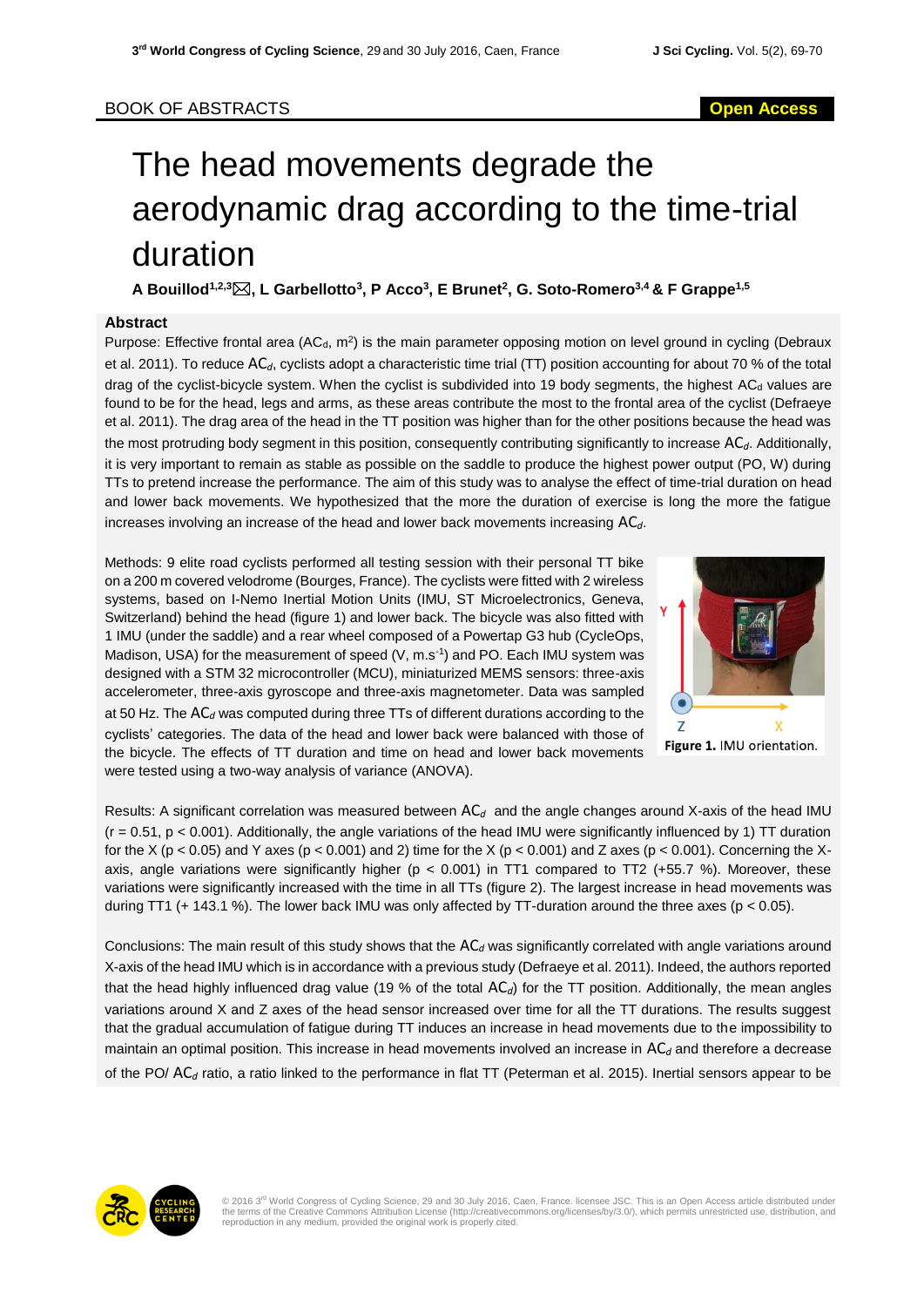## BOOK OF ABSTRACTS **Open Access**

# The head movements degrade the aerodynamic drag according to the time-trial duration

**A Bouillod1,2,3, L Garbellotto<sup>3</sup> , P Acco<sup>3</sup> , E Brunet<sup>2</sup> , G. Soto-Romero3,4 & F Grappe1,5**

### **Abstract**

Purpose: Effective frontal area (AC<sub>d</sub>, m<sup>2</sup>) is the main parameter opposing motion on level ground in cycling (Debraux et al. 2011). To reduce AC*d*, cyclists adopt a characteristic time trial (TT) position accounting for about 70 % of the total drag of the cyclist-bicycle system. When the cyclist is subdivided into 19 body segments, the highest ACa values are found to be for the head, legs and arms, as these areas contribute the most to the frontal area of the cyclist (Defraeye et al. 2011). The drag area of the head in the TT position was higher than for the other positions because the head was the most protruding body segment in this position, consequently contributing significantly to increase AC*d*. Additionally, it is very important to remain as stable as possible on the saddle to produce the highest power output (PO, W) during TTs to pretend increase the performance. The aim of this study was to analyse the effect of time-trial duration on head and lower back movements. We hypothesized that the more the duration of exercise is long the more the fatigue increases involving an increase of the head and lower back movements increasing AC*d*.

Methods: 9 elite road cyclists performed all testing session with their personal TT bike on a 200 m covered velodrome (Bourges, France). The cyclists were fitted with 2 wireless systems, based on I-Nemo Inertial Motion Units (IMU, ST Microelectronics, Geneva, Switzerland) behind the head (figure 1) and lower back. The bicycle was also fitted with 1 IMU (under the saddle) and a rear wheel composed of a Powertap G3 hub (CycleOps, Madison, USA) for the measurement of speed (V, m.s<sup>-1</sup>) and PO. Each IMU system was designed with a STM 32 microcontroller (MCU), miniaturized MEMS sensors: three-axis accelerometer, three-axis gyroscope and three-axis magnetometer. Data was sampled at 50 Hz. The AC*<sup>d</sup>* was computed during three TTs of different durations according to the cyclists' categories. The data of the head and lower back were balanced with those of the bicycle. The effects of TT duration and time on head and lower back movements were tested using a two-way analysis of variance (ANOVA).



Figure 1. IMU orientation.

Results: A significant correlation was measured between AC*<sup>d</sup>* and the angle changes around X-axis of the head IMU  $(r = 0.51, p < 0.001)$ . Additionally, the angle variations of the head IMU were significantly influenced by 1) TT duration for the X (p < 0.05) and Y axes (p < 0.001) and 2) time for the X (p < 0.001) and Z axes (p < 0.001). Concerning the Xaxis, angle variations were significantly higher ( $p < 0.001$ ) in TT1 compared to TT2 (+55.7 %). Moreover, these variations were significantly increased with the time in all TTs (figure 2). The largest increase in head movements was during TT1 (+ 143.1 %). The lower back IMU was only affected by TT-duration around the three axes (p < 0.05).

Conclusions: The main result of this study shows that the AC*<sup>d</sup>* was significantly correlated with angle variations around X-axis of the head IMU which is in accordance with a previous study (Defraeye et al. 2011). Indeed, the authors reported that the head highly influenced drag value (19 % of the total AC*d*) for the TT position. Additionally, the mean angles variations around X and Z axes of the head sensor increased over time for all the TT durations. The results suggest that the gradual accumulation of fatigue during TT induces an increase in head movements due to the impossibility to maintain an optimal position. This increase in head movements involved an increase in AC*<sup>d</sup>* and therefore a decrease of the PO/ AC*<sup>d</sup>* ratio, a ratio linked to the performance in flat TT (Peterman et al. 2015). Inertial sensors appear to be